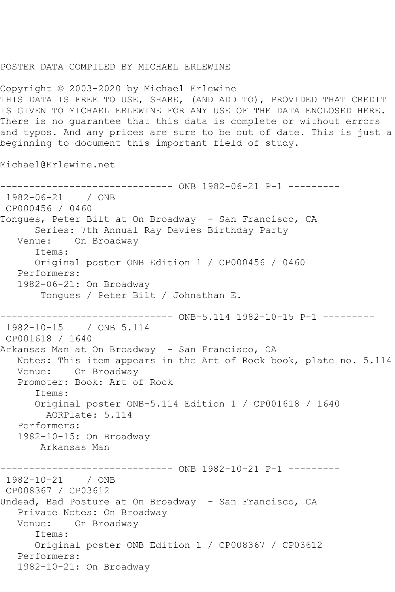## POSTER DATA COMPILED BY MICHAEL ERLEWINE

Copyright © 2003-2020 by Michael Erlewine THIS DATA IS FREE TO USE, SHARE, (AND ADD TO), PROVIDED THAT CREDIT IS GIVEN TO MICHAEL ERLEWINE FOR ANY USE OF THE DATA ENCLOSED HERE. There is no guarantee that this data is complete or without errors and typos. And any prices are sure to be out of date. This is just a beginning to document this important field of study.

Michael@Erlewine.net

```
------------------------------ ONB 1982-06-21 P-1 ---------
1982-06-21 / ONB 
CP000456 / 0460
Tongues, Peter Bilt at On Broadway - San Francisco, CA
      Series: 7th Annual Ray Davies Birthday Party
   Venue: On Broadway
      Items:
      Original poster ONB Edition 1 / CP000456 / 0460
   Performers:
   1982-06-21: On Broadway
       Tongues / Peter Bilt / Johnathan E.
------------------------------ ONB-5.114 1982-10-15 P-1 ---------
1982-10-15 / ONB 5.114
CP001618 / 1640
Arkansas Man at On Broadway - San Francisco, CA
   Notes: This item appears in the Art of Rock book, plate no. 5.114
   Venue: On Broadway
   Promoter: Book: Art of Rock
      Items:
      Original poster ONB-5.114 Edition 1 / CP001618 / 1640
         AORPlate: 5.114 
   Performers:
   1982-10-15: On Broadway
       Arkansas Man
                    ----------- ONB 1982-10-21 P-1 ---------
1982-10-21 / ONB 
CP008367 / CP03612
Undead, Bad Posture at On Broadway - San Francisco, CA
   Private Notes: On Broadway
   Venue: On Broadway
      Items:
      Original poster ONB Edition 1 / CP008367 / CP03612
   Performers:
   1982-10-21: On Broadway
```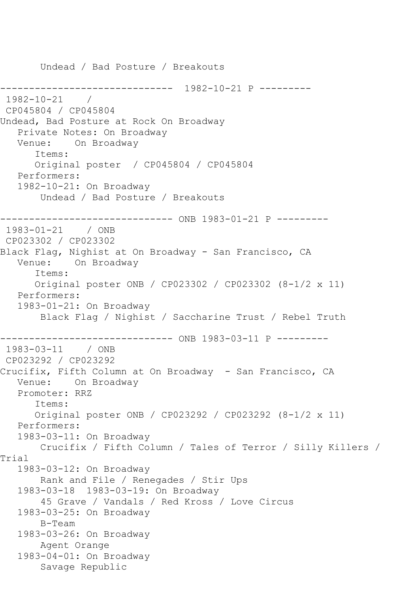Undead / Bad Posture / Breakouts ------------------------------ 1982-10-21 P --------- 1982-10-21 / CP045804 / CP045804 Undead, Bad Posture at Rock On Broadway Private Notes: On Broadway Venue: On Broadway Items: Original poster / CP045804 / CP045804 Performers: 1982-10-21: On Broadway Undead / Bad Posture / Breakouts ------------------------------ ONB 1983-01-21 P --------- 1983-01-21 / ONB CP023302 / CP023302 Black Flag, Nighist at On Broadway - San Francisco, CA Venue: On Broadway Items: Original poster ONB / CP023302 / CP023302 (8-1/2 x 11) Performers: 1983-01-21: On Broadway Black Flag / Nighist / Saccharine Trust / Rebel Truth ------------------------------ ONB 1983-03-11 P --------- 1983-03-11 / ONB CP023292 / CP023292 Crucifix, Fifth Column at On Broadway - San Francisco, CA Venue: On Broadway Promoter: RRZ Items: Original poster ONB / CP023292 / CP023292 (8-1/2 x 11) Performers: 1983-03-11: On Broadway Crucifix / Fifth Column / Tales of Terror / Silly Killers / Trial 1983-03-12: On Broadway Rank and File / Renegades / Stir Ups 1983-03-18 1983-03-19: On Broadway 45 Grave / Vandals / Red Kross / Love Circus 1983-03-25: On Broadway B-Team 1983-03-26: On Broadway Agent Orange 1983-04-01: On Broadway Savage Republic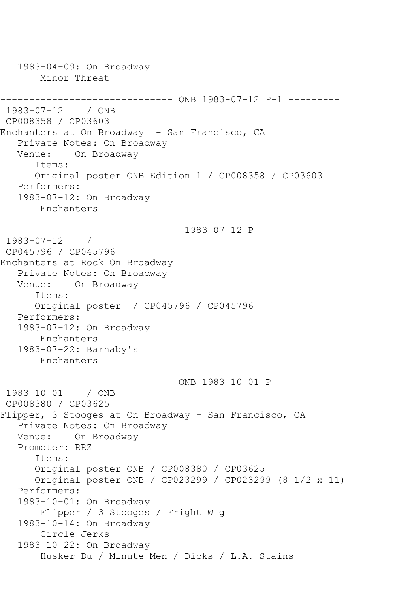1983-04-09: On Broadway Minor Threat ------------------------------ ONB 1983-07-12 P-1 --------- 1983-07-12 / ONB CP008358 / CP03603 Enchanters at On Broadway - San Francisco, CA Private Notes: On Broadway Venue: On Broadway Items: Original poster ONB Edition 1 / CP008358 / CP03603 Performers: 1983-07-12: On Broadway Enchanters ------------------------------ 1983-07-12 P --------- 1983-07-12 / CP045796 / CP045796 Enchanters at Rock On Broadway Private Notes: On Broadway Venue: On Broadway Items: Original poster / CP045796 / CP045796 Performers: 1983-07-12: On Broadway Enchanters 1983-07-22: Barnaby's Enchanters \_\_\_\_\_\_\_\_\_\_\_\_\_\_\_ --------------- ONB 1983-10-01 P ---------1983-10-01 / ONB CP008380 / CP03625 Flipper, 3 Stooges at On Broadway - San Francisco, CA Private Notes: On Broadway Venue: On Broadway Promoter: RRZ Items: Original poster ONB / CP008380 / CP03625 Original poster ONB / CP023299 / CP023299 (8-1/2 x 11) Performers: 1983-10-01: On Broadway Flipper / 3 Stooges / Fright Wig 1983-10-14: On Broadway Circle Jerks 1983-10-22: On Broadway Husker Du / Minute Men / Dicks / L.A. Stains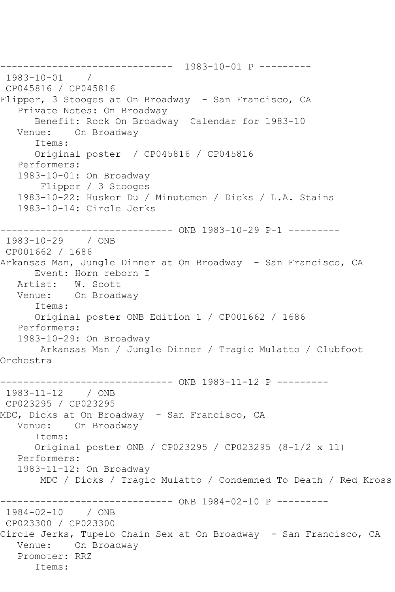------------------------------ 1983-10-01 P --------- 1983-10-01 / CP045816 / CP045816 Flipper, 3 Stooges at On Broadway - San Francisco, CA Private Notes: On Broadway Benefit: Rock On Broadway Calendar for 1983-10 Venue: On Broadway Items: Original poster / CP045816 / CP045816 Performers: 1983-10-01: On Broadway Flipper / 3 Stooges 1983-10-22: Husker Du / Minutemen / Dicks / L.A. Stains 1983-10-14: Circle Jerks ------------------------------ ONB 1983-10-29 P-1 --------- 1983-10-29 / ONB CP001662 / 1686 Arkansas Man, Jungle Dinner at On Broadway - San Francisco, CA Event: Horn reborn I Artist: W. Scott Venue: On Broadway Items: Original poster ONB Edition 1 / CP001662 / 1686 Performers: 1983-10-29: On Broadway Arkansas Man / Jungle Dinner / Tragic Mulatto / Clubfoot Orchestra ------------------------------ ONB 1983-11-12 P --------- 1983-11-12 / ONB CP023295 / CP023295 MDC, Dicks at On Broadway - San Francisco, CA Venue: On Broadway Items: Original poster ONB / CP023295 / CP023295 (8-1/2 x 11) Performers: 1983-11-12: On Broadway MDC / Dicks / Tragic Mulatto / Condemned To Death / Red Kross ------------ ONB 1984-02-10 P ---------1984-02-10 / ONB CP023300 / CP023300 Circle Jerks, Tupelo Chain Sex at On Broadway - San Francisco, CA Venue: On Broadway Promoter: RRZ Items: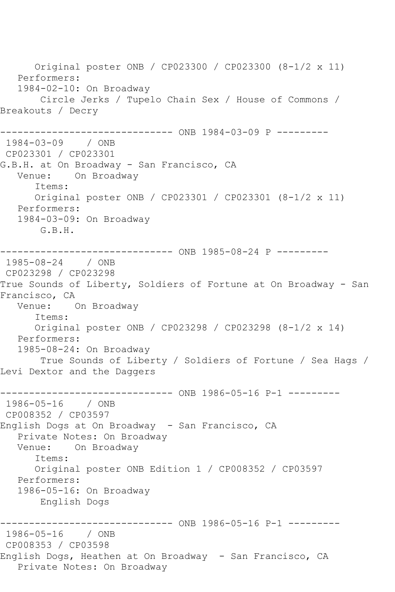Original poster ONB / CP023300 / CP023300 (8-1/2 x 11) Performers: 1984-02-10: On Broadway Circle Jerks / Tupelo Chain Sex / House of Commons / Breakouts / Decry ------------------------------ ONB 1984-03-09 P --------- 1984-03-09 / ONB CP023301 / CP023301 G.B.H. at On Broadway - San Francisco, CA<br>Venue: On Broadway On Broadway Items: Original poster ONB / CP023301 / CP023301 (8-1/2 x 11) Performers: 1984-03-09: On Broadway G.B.H. ------------------------------ ONB 1985-08-24 P --------- 1985-08-24 / ONB CP023298 / CP023298 True Sounds of Liberty, Soldiers of Fortune at On Broadway - San Francisco, CA Venue: On Broadway Items: Original poster ONB / CP023298 / CP023298 (8-1/2 x 14) Performers: 1985-08-24: On Broadway True Sounds of Liberty / Soldiers of Fortune / Sea Hags / Levi Dextor and the Daggers ------------ ONB 1986-05-16 P-1 ---------1986-05-16 / ONB CP008352 / CP03597 English Dogs at On Broadway - San Francisco, CA Private Notes: On Broadway Venue: On Broadway Items: Original poster ONB Edition 1 / CP008352 / CP03597 Performers: 1986-05-16: On Broadway English Dogs ------------- ONB 1986-05-16 P-1 ---------1986-05-16 / ONB CP008353 / CP03598 English Dogs, Heathen at On Broadway - San Francisco, CA Private Notes: On Broadway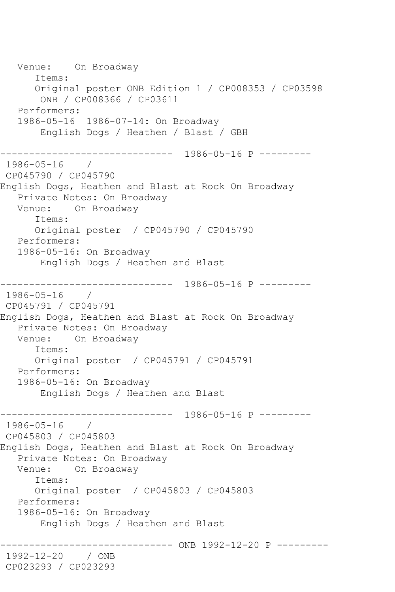Venue: On Broadway Items: Original poster ONB Edition 1 / CP008353 / CP03598 ONB / CP008366 / CP03611 Performers: 1986-05-16 1986-07-14: On Broadway English Dogs / Heathen / Blast / GBH ------------------------------ 1986-05-16 P --------- 1986-05-16 / CP045790 / CP045790 English Dogs, Heathen and Blast at Rock On Broadway Private Notes: On Broadway Venue: On Broadway Items: Original poster / CP045790 / CP045790 Performers: 1986-05-16: On Broadway English Dogs / Heathen and Blast ------------------------------ 1986-05-16 P --------- 1986-05-16 / CP045791 / CP045791 English Dogs, Heathen and Blast at Rock On Broadway Private Notes: On Broadway Venue: On Broadway Items: Original poster / CP045791 / CP045791 Performers: 1986-05-16: On Broadway English Dogs / Heathen and Blast ------------------------------ 1986-05-16 P ---------  $1986 - 05 - 16$ CP045803 / CP045803 English Dogs, Heathen and Blast at Rock On Broadway Private Notes: On Broadway Venue: On Broadway Items: Original poster / CP045803 / CP045803 Performers: 1986-05-16: On Broadway English Dogs / Heathen and Blast ------------------------------ ONB 1992-12-20 P --------- 1992-12-20 / ONB CP023293 / CP023293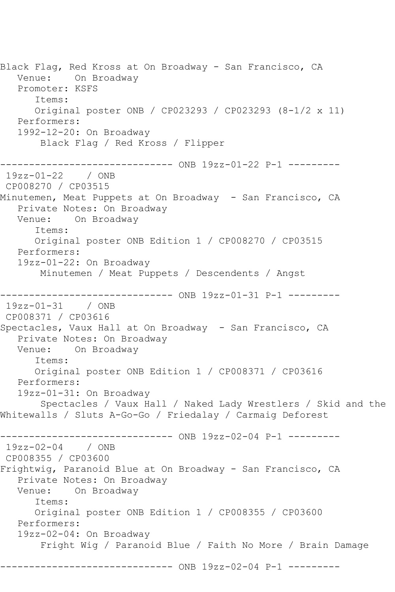Black Flag, Red Kross at On Broadway - San Francisco, CA Venue: On Broadway Promoter: KSFS Items: Original poster ONB / CP023293 / CP023293 (8-1/2 x 11) Performers: 1992-12-20: On Broadway Black Flag / Red Kross / Flipper ------------------------------ ONB 19zz-01-22 P-1 --------- 19zz-01-22 / ONB CP008270 / CP03515 Minutemen, Meat Puppets at On Broadway - San Francisco, CA Private Notes: On Broadway Venue: On Broadway Items: Original poster ONB Edition 1 / CP008270 / CP03515 Performers: 19zz-01-22: On Broadway Minutemen / Meat Puppets / Descendents / Angst ------------------------------ ONB 19zz-01-31 P-1 --------- 19zz-01-31 / ONB CP008371 / CP03616 Spectacles, Vaux Hall at On Broadway - San Francisco, CA Private Notes: On Broadway Venue: On Broadway Items: Original poster ONB Edition 1 / CP008371 / CP03616 Performers: 19zz-01-31: On Broadway Spectacles / Vaux Hall / Naked Lady Wrestlers / Skid and the Whitewalls / Sluts A-Go-Go / Friedalay / Carmaig Deforest ------------------------------ ONB 19zz-02-04 P-1 --------- 19zz-02-04 / ONB CP008355 / CP03600 Frightwig, Paranoid Blue at On Broadway - San Francisco, CA Private Notes: On Broadway Venue: On Broadway Items: Original poster ONB Edition 1 / CP008355 / CP03600 Performers: 19zz-02-04: On Broadway Fright Wig / Paranoid Blue / Faith No More / Brain Damage ----------------------------- ONB 19zz-02-04 P-1 ---------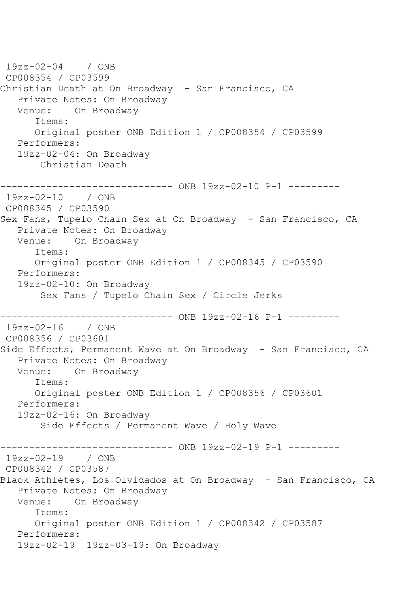19zz-02-04 / ONB CP008354 / CP03599 Christian Death at On Broadway - San Francisco, CA Private Notes: On Broadway<br>Venue: On Broadway On Broadway Items: Original poster ONB Edition 1 / CP008354 / CP03599 Performers: 19zz-02-04: On Broadway Christian Death ------------------------------ ONB 19zz-02-10 P-1 --------- 19zz-02-10 / ONB CP008345 / CP03590 Sex Fans, Tupelo Chain Sex at On Broadway - San Francisco, CA Private Notes: On Broadway Venue: On Broadway Items: Original poster ONB Edition 1 / CP008345 / CP03590 Performers: 19zz-02-10: On Broadway Sex Fans / Tupelo Chain Sex / Circle Jerks ------------------------------ ONB 19zz-02-16 P-1 --------- 19zz-02-16 / ONB CP008356 / CP03601 Side Effects, Permanent Wave at On Broadway - San Francisco, CA Private Notes: On Broadway Venue: On Broadway Items: Original poster ONB Edition 1 / CP008356 / CP03601 Performers: 19zz-02-16: On Broadway Side Effects / Permanent Wave / Holy Wave ------------------------------ ONB 19zz-02-19 P-1 --------- 19zz-02-19 / ONB CP008342 / CP03587 Black Athletes, Los Olvidados at On Broadway - San Francisco, CA Private Notes: On Broadway Venue: On Broadway Items: Original poster ONB Edition 1 / CP008342 / CP03587 Performers: 19zz-02-19 19zz-03-19: On Broadway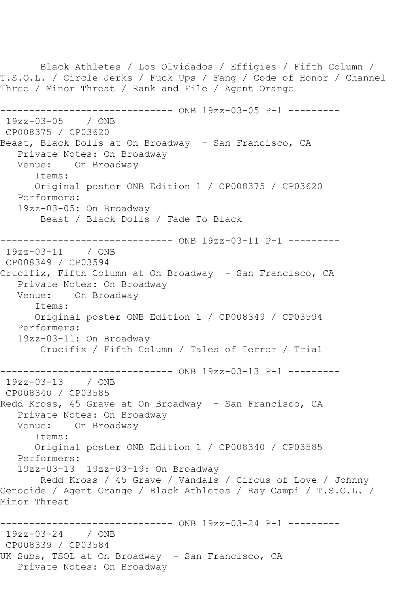Black Athletes / Los Olvidados / Effigies / Fifth Column / T.S.O.L. / Circle Jerks / Fuck Ups / Fang / Code of Honor / Channel Three / Minor Threat / Rank and File / Agent Orange ------------------------------ ONB 19zz-03-05 P-1 --------- 19zz-03-05 / ONB CP008375 / CP03620 Beast, Black Dolls at On Broadway - San Francisco, CA Private Notes: On Broadway Venue: On Broadway Items: Original poster ONB Edition 1 / CP008375 / CP03620 Performers: 19zz-03-05: On Broadway Beast / Black Dolls / Fade To Black ------------------------------ ONB 19zz-03-11 P-1 --------- 19zz-03-11 / ONB CP008349 / CP03594 Crucifix, Fifth Column at On Broadway - San Francisco, CA Private Notes: On Broadway Venue: On Broadway Items: Original poster ONB Edition 1 / CP008349 / CP03594 Performers: 19zz-03-11: On Broadway Crucifix / Fifth Column / Tales of Terror / Trial ------------------------------ ONB 19zz-03-13 P-1 --------- 19zz-03-13 / ONB CP008340 / CP03585 Redd Kross, 45 Grave at On Broadway - San Francisco, CA Private Notes: On Broadway Venue: On Broadway Items: Original poster ONB Edition 1 / CP008340 / CP03585 Performers: 19zz-03-13 19zz-03-19: On Broadway Redd Kross / 45 Grave / Vandals / Circus of Love / Johnny Genocide / Agent Orange / Black Athletes / Ray Campi / T.S.O.L. / Minor Threat ------------------------------ ONB 19zz-03-24 P-1 --------- 19zz-03-24 / ONB CP008339 / CP03584 UK Subs, TSOL at On Broadway - San Francisco, CA Private Notes: On Broadway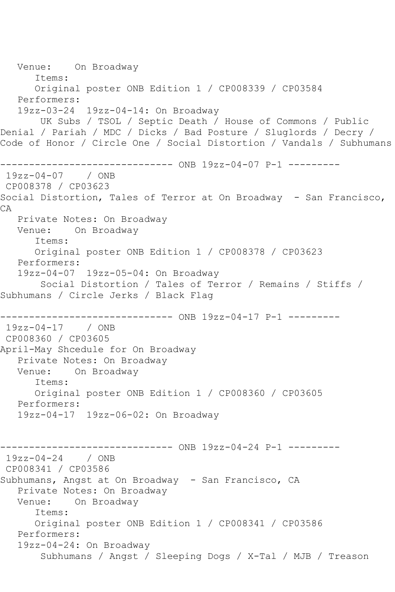Venue: On Broadway Items: Original poster ONB Edition 1 / CP008339 / CP03584 Performers: 19zz-03-24 19zz-04-14: On Broadway UK Subs / TSOL / Septic Death / House of Commons / Public Denial / Pariah / MDC / Dicks / Bad Posture / Sluglords / Decry / Code of Honor / Circle One / Social Distortion / Vandals / Subhumans ------------------------------ ONB 19zz-04-07 P-1 --------- 19zz-04-07 / ONB CP008378 / CP03623 Social Distortion, Tales of Terror at On Broadway - San Francisco, CA Private Notes: On Broadway Venue: On Broadway Items: Original poster ONB Edition 1 / CP008378 / CP03623 Performers: 19zz-04-07 19zz-05-04: On Broadway Social Distortion / Tales of Terror / Remains / Stiffs / Subhumans / Circle Jerks / Black Flag ------------------------------ ONB 19zz-04-17 P-1 --------- 19zz-04-17 / ONB CP008360 / CP03605 April-May Shcedule for On Broadway Private Notes: On Broadway Venue: On Broadway Items: Original poster ONB Edition 1 / CP008360 / CP03605 Performers: 19zz-04-17 19zz-06-02: On Broadway ------------------------------ ONB 19zz-04-24 P-1 --------- 19zz-04-24 / ONB CP008341 / CP03586 Subhumans, Angst at On Broadway - San Francisco, CA Private Notes: On Broadway Venue: On Broadway Items: Original poster ONB Edition 1 / CP008341 / CP03586 Performers: 19zz-04-24: On Broadway Subhumans / Angst / Sleeping Dogs / X-Tal / MJB / Treason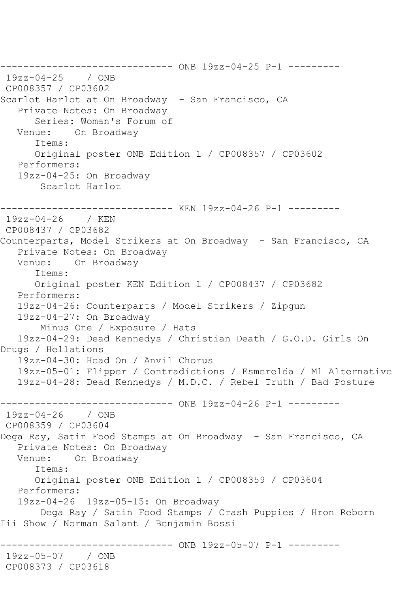------------------------------ ONB 19zz-04-25 P-1 --------- 19zz-04-25 / ONB CP008357 / CP03602 Scarlot Harlot at On Broadway - San Francisco, CA Private Notes: On Broadway Series: Woman's Forum of Venue: On Broadway Items: Original poster ONB Edition 1 / CP008357 / CP03602 Performers: 19zz-04-25: On Broadway Scarlot Harlot ------------------------------ KEN 19zz-04-26 P-1 --------- 19zz-04-26 / KEN CP008437 / CP03682 Counterparts, Model Strikers at On Broadway - San Francisco, CA Private Notes: On Broadway Venue: On Broadway Items: Original poster KEN Edition 1 / CP008437 / CP03682 Performers: 19zz-04-26: Counterparts / Model Strikers / Zipgun 19zz-04-27: On Broadway Minus One / Exposure / Hats 19zz-04-29: Dead Kennedys / Christian Death / G.O.D. Girls On Drugs / Hellations 19zz-04-30: Head On / Anvil Chorus 19zz-05-01: Flipper / Contradictions / Esmerelda / M1 Alternative 19zz-04-28: Dead Kennedys / M.D.C. / Rebel Truth / Bad Posture ------------------------------ ONB 19zz-04-26 P-1 --------- 19zz-04-26 / ONB CP008359 / CP03604 Dega Ray, Satin Food Stamps at On Broadway - San Francisco, CA Private Notes: On Broadway Venue: On Broadway Items: Original poster ONB Edition 1 / CP008359 / CP03604 Performers: 19zz-04-26 19zz-05-15: On Broadway Dega Ray / Satin Food Stamps / Crash Puppies / Hron Reborn Iii Show / Norman Salant / Benjamin Bossi ------------------------------ ONB 19zz-05-07 P-1 --------- 19zz-05-07 / ONB CP008373 / CP03618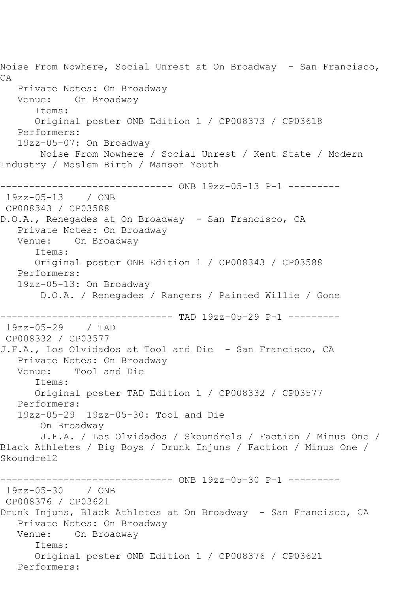Noise From Nowhere, Social Unrest at On Broadway - San Francisco, CA Private Notes: On Broadway Venue: On Broadway Items: Original poster ONB Edition 1 / CP008373 / CP03618 Performers: 19zz-05-07: On Broadway Noise From Nowhere / Social Unrest / Kent State / Modern Industry / Moslem Birth / Manson Youth ------------------------------ ONB 19zz-05-13 P-1 --------- 19zz-05-13 / ONB CP008343 / CP03588 D.O.A., Renegades at On Broadway - San Francisco, CA Private Notes: On Broadway Venue: On Broadway Items: Original poster ONB Edition 1 / CP008343 / CP03588 Performers: 19zz-05-13: On Broadway D.O.A. / Renegades / Rangers / Painted Willie / Gone ----------------------------- TAD 19zz-05-29 P-1 ----------19zz-05-29 / TAD CP008332 / CP03577 J.F.A., Los Olvidados at Tool and Die - San Francisco, CA Private Notes: On Broadway Venue: Tool and Die Items: Original poster TAD Edition 1 / CP008332 / CP03577 Performers: 19zz-05-29 19zz-05-30: Tool and Die On Broadway J.F.A. / Los Olvidados / Skoundrels / Faction / Minus One / Black Athletes / Big Boys / Drunk Injuns / Faction / Minus One / Skoundrel2 ------------------------------ ONB 19zz-05-30 P-1 --------- 19zz-05-30 / ONB CP008376 / CP03621 Drunk Injuns, Black Athletes at On Broadway - San Francisco, CA Private Notes: On Broadway Venue: On Broadway Items: Original poster ONB Edition 1 / CP008376 / CP03621 Performers: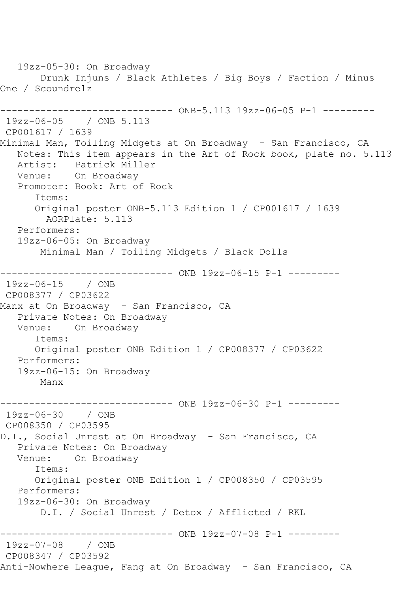19zz-05-30: On Broadway Drunk Injuns / Black Athletes / Big Boys / Faction / Minus One / Scoundrelz ------------------------------ ONB-5.113 19zz-06-05 P-1 --------- 19zz-06-05 / ONB 5.113 CP001617 / 1639 Minimal Man, Toiling Midgets at On Broadway - San Francisco, CA Notes: This item appears in the Art of Rock book, plate no. 5.113 Artist: Patrick Miller Venue: On Broadway Promoter: Book: Art of Rock Items: Original poster ONB-5.113 Edition 1 / CP001617 / 1639 AORPlate: 5.113 Performers: 19zz-06-05: On Broadway Minimal Man / Toiling Midgets / Black Dolls ------------------------------ ONB 19zz-06-15 P-1 --------- 19zz-06-15 / ONB CP008377 / CP03622 Manx at On Broadway - San Francisco, CA Private Notes: On Broadway Venue: On Broadway Items: Original poster ONB Edition 1 / CP008377 / CP03622 Performers: 19zz-06-15: On Broadway Manx ------------------------------ ONB 19zz-06-30 P-1 --------- 19zz-06-30 / ONB CP008350 / CP03595 D.I., Social Unrest at On Broadway - San Francisco, CA Private Notes: On Broadway Venue: On Broadway Items: Original poster ONB Edition 1 / CP008350 / CP03595 Performers: 19zz-06-30: On Broadway D.I. / Social Unrest / Detox / Afflicted / RKL ------------------------------ ONB 19zz-07-08 P-1 --------- 19zz-07-08 / ONB CP008347 / CP03592 Anti-Nowhere League, Fang at On Broadway - San Francisco, CA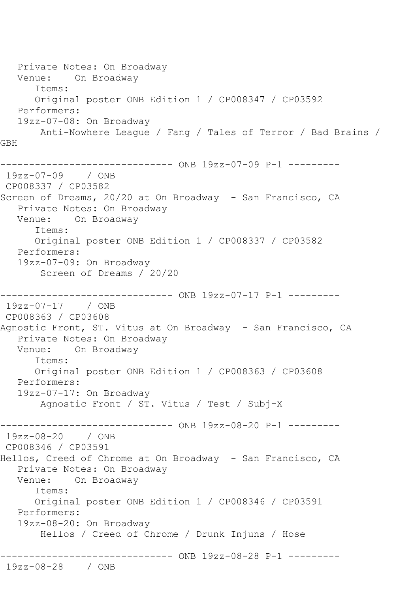Private Notes: On Broadway Venue: On Broadway Items: Original poster ONB Edition 1 / CP008347 / CP03592 Performers: 19zz-07-08: On Broadway Anti-Nowhere League / Fang / Tales of Terror / Bad Brains / GBH ------------------------------ ONB 19zz-07-09 P-1 --------- 19zz-07-09 / ONB CP008337 / CP03582 Screen of Dreams, 20/20 at On Broadway - San Francisco, CA Private Notes: On Broadway Venue: On Broadway Items: Original poster ONB Edition 1 / CP008337 / CP03582 Performers: 19zz-07-09: On Broadway Screen of Dreams / 20/20 ---------- ONB 19zz-07-17 P-1 ---------19zz-07-17 / ONB CP008363 / CP03608 Agnostic Front, ST. Vitus at On Broadway - San Francisco, CA Private Notes: On Broadway Venue: On Broadway Items: Original poster ONB Edition 1 / CP008363 / CP03608 Performers: 19zz-07-17: On Broadway Agnostic Front / ST. Vitus / Test / Subj-X ------------------------------ ONB 19zz-08-20 P-1 --------- 19zz-08-20 / ONB CP008346 / CP03591 Hellos, Creed of Chrome at On Broadway - San Francisco, CA Private Notes: On Broadway Venue: On Broadway Items: Original poster ONB Edition 1 / CP008346 / CP03591 Performers: 19zz-08-20: On Broadway Hellos / Creed of Chrome / Drunk Injuns / Hose ------------------------------ ONB 19zz-08-28 P-1 --------- 19zz-08-28 / ONB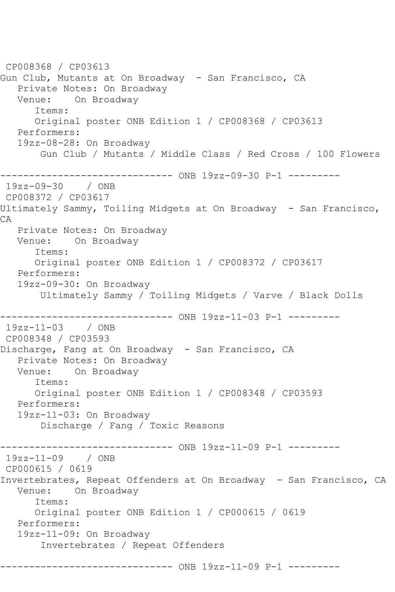CP008368 / CP03613 Gun Club, Mutants at On Broadway - San Francisco, CA Private Notes: On Broadway Venue: On Broadway Items: Original poster ONB Edition 1 / CP008368 / CP03613 Performers: 19zz-08-28: On Broadway Gun Club / Mutants / Middle Class / Red Cross / 100 Flowers ------------------------------ ONB 19zz-09-30 P-1 --------- 19zz-09-30 / ONB CP008372 / CP03617 Ultimately Sammy, Toiling Midgets at On Broadway - San Francisco, CA Private Notes: On Broadway Venue: On Broadway Items: Original poster ONB Edition 1 / CP008372 / CP03617 Performers: 19zz-09-30: On Broadway Ultimately Sammy / Toiling Midgets / Varve / Black Dolls ------------------------------ ONB 19zz-11-03 P-1 --------- 19zz-11-03 / ONB CP008348 / CP03593 Discharge, Fang at On Broadway - San Francisco, CA Private Notes: On Broadway Venue: On Broadway Items: Original poster ONB Edition 1 / CP008348 / CP03593 Performers: 19zz-11-03: On Broadway Discharge / Fang / Toxic Reasons ------------------------------ ONB 19zz-11-09 P-1 --------- 19zz-11-09 / ONB CP000615 / 0619 Invertebrates, Repeat Offenders at On Broadway - San Francisco, CA Venue: On Broadway Items: Original poster ONB Edition 1 / CP000615 / 0619 Performers: 19zz-11-09: On Broadway Invertebrates / Repeat Offenders -------------------- ONB 19zz-11-09 P-1 ---------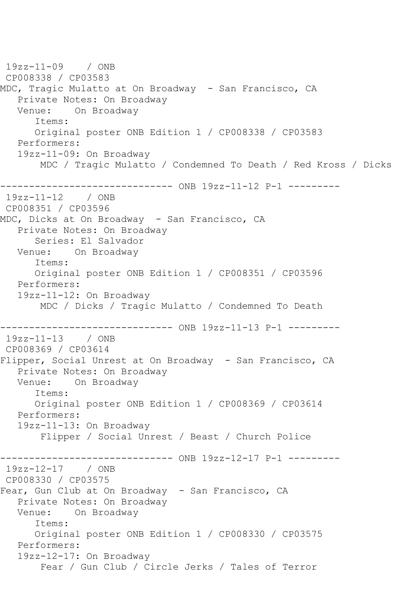```
19zz-11-09 / ONB 
CP008338 / CP03583
MDC, Tragic Mulatto at On Broadway - San Francisco, CA
  Private Notes: On Broadway<br>Venue: On Broadway
           On Broadway
       Items:
       Original poster ONB Edition 1 / CP008338 / CP03583
   Performers:
    19zz-11-09: On Broadway
        MDC / Tragic Mulatto / Condemned To Death / Red Kross / Dicks
          ------------------------------ ONB 19zz-11-12 P-1 ---------
19zz-11-12 / ONB 
CP008351 / CP03596
MDC, Dicks at On Broadway - San Francisco, CA
    Private Notes: On Broadway
       Series: El Salvador
   Venue: On Broadway
       Items:
       Original poster ONB Edition 1 / CP008351 / CP03596
   Performers:
   19zz-11-12: On Broadway
        MDC / Dicks / Tragic Mulatto / Condemned To Death
                    ------------------------------ ONB 19zz-11-13 P-1 ---------
19zz-11-13 / ONB 
CP008369 / CP03614
Flipper, Social Unrest at On Broadway - San Francisco, CA
    Private Notes: On Broadway
   Venue: On Broadway
       Items:
       Original poster ONB Edition 1 / CP008369 / CP03614
   Performers:
    19zz-11-13: On Broadway
        Flipper / Social Unrest / Beast / Church Police
------------------------------ ONB 19zz-12-17 P-1 ---------
19zz-12-17 / ONB 
CP008330 / CP03575
Fear, Gun Club at On Broadway - San Francisco, CA
   Private Notes: On Broadway
   Venue: On Broadway
       Items:
       Original poster ONB Edition 1 / CP008330 / CP03575
    Performers:
    19zz-12-17: On Broadway
        Fear / Gun Club / Circle Jerks / Tales of Terror
```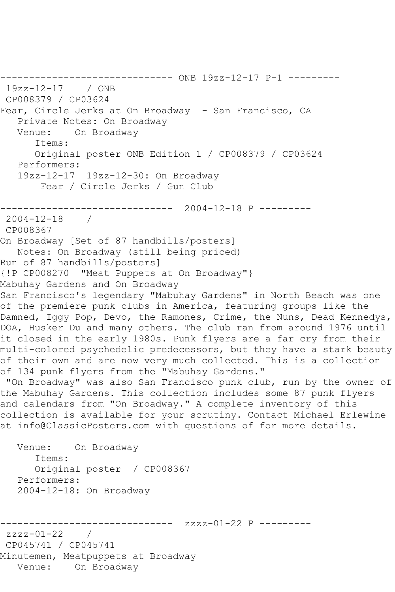19zz-12-17 / ONB CP008379 / CP03624 Fear, Circle Jerks at On Broadway - San Francisco, CA Private Notes: On Broadway Venue: On Broadway Items: Original poster ONB Edition 1 / CP008379 / CP03624 Performers: 19zz-12-17 19zz-12-30: On Broadway Fear / Circle Jerks / Gun Club ------------------------------ 2004-12-18 P --------- 2004-12-18 / CP008367 On Broadway [Set of 87 handbills/posters] Notes: On Broadway (still being priced) Run of 87 handbills/posters] {!P CP008270 "Meat Puppets at On Broadway"} Mabuhay Gardens and On Broadway San Francisco's legendary "Mabuhay Gardens" in North Beach was one of the premiere punk clubs in America, featuring groups like the Damned, Iggy Pop, Devo, the Ramones, Crime, the Nuns, Dead Kennedys, DOA, Husker Du and many others. The club ran from around 1976 until it closed in the early 1980s. Punk flyers are a far cry from their multi-colored psychedelic predecessors, but they have a stark beauty of their own and are now very much collected. This is a collection of 134 punk flyers from the "Mabuhay Gardens." "On Broadway" was also San Francisco punk club, run by the owner of the Mabuhay Gardens. This collection includes some 87 punk flyers and calendars from "On Broadway." A complete inventory of this collection is available for your scrutiny. Contact Michael Erlewine at info@ClassicPosters.com with questions of for more details. Venue: On Broadway Items: Original poster / CP008367 Performers: 2004-12-18: On Broadway ------------------------------ zzzz-01-22 P -------- zzzz-01-22 / CP045741 / CP045741 Minutemen, Meatpuppets at Broadway Venue: On Broadway

------------------------------ ONB 19zz-12-17 P-1 ---------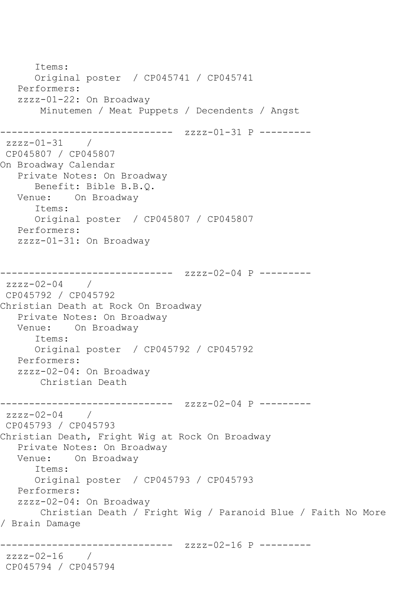```
 Items:
      Original poster / CP045741 / CP045741
   Performers:
   zzzz-01-22: On Broadway
        Minutemen / Meat Puppets / Decendents / Angst
         ------------------------------ zzzz-01-31 P ---------
zzzz-01-31 /
CP045807 / CP045807
On Broadway Calendar
   Private Notes: On Broadway
      Benefit: Bible B.B.Q.
   Venue: On Broadway
       Items:
      Original poster / CP045807 / CP045807
   Performers:
   zzzz-01-31: On Broadway
------------------------------ zzzz-02-04 P ---------
zzzz-02-04 / 
CP045792 / CP045792
Christian Death at Rock On Broadway
   Private Notes: On Broadway
   Venue: On Broadway
      Items:
       Original poster / CP045792 / CP045792
   Performers:
   zzzz-02-04: On Broadway
       Christian Death
------------------------------ zzzz-02-04 P ---------
zzzz-02-04 /
CP045793 / CP045793
Christian Death, Fright Wig at Rock On Broadway
   Private Notes: On Broadway
   Venue: On Broadway
       Items:
      Original poster / CP045793 / CP045793
   Performers:
   zzzz-02-04: On Broadway
       Christian Death / Fright Wig / Paranoid Blue / Faith No More 
/ Brain Damage
                    ----------- zzzz-02-16 P ---------
zzzz-02-16 / 
CP045794 / CP045794
```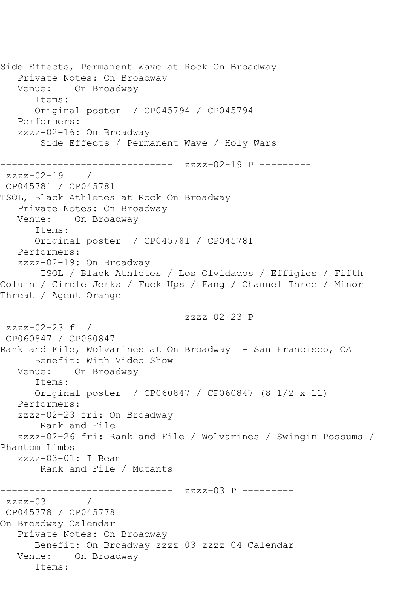Side Effects, Permanent Wave at Rock On Broadway Private Notes: On Broadway Venue: On Broadway Items: Original poster / CP045794 / CP045794 Performers: zzzz-02-16: On Broadway Side Effects / Permanent Wave / Holy Wars ------------------------------ zzzz-02-19 P -------- zzzz-02-19 / CP045781 / CP045781 TSOL, Black Athletes at Rock On Broadway Private Notes: On Broadway Venue: On Broadway Items: Original poster / CP045781 / CP045781 Performers: zzzz-02-19: On Broadway TSOL / Black Athletes / Los Olvidados / Effigies / Fifth Column / Circle Jerks / Fuck Ups / Fang / Channel Three / Minor Threat / Agent Orange ------------------------------ zzzz-02-23 P -------- zzzz-02-23 f / CP060847 / CP060847 Rank and File, Wolvarines at On Broadway - San Francisco, CA Benefit: With Video Show Venue: On Broadway Items: Original poster / CP060847 / CP060847 (8-1/2 x 11) Performers: zzzz-02-23 fri: On Broadway Rank and File zzzz-02-26 fri: Rank and File / Wolvarines / Swingin Possums / Phantom Limbs zzzz-03-01: I Beam Rank and File / Mutants ------------------------------ zzzz-03 P -------- zzzz-03 / CP045778 / CP045778 On Broadway Calendar Private Notes: On Broadway Benefit: On Broadway zzzz-03-zzzz-04 Calendar Venue: On Broadway Items: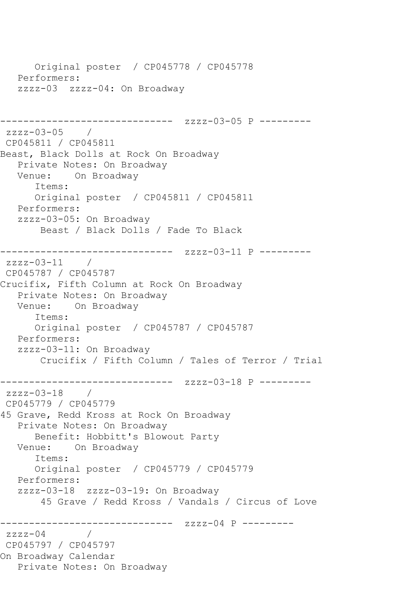Original poster / CP045778 / CP045778 Performers: zzzz-03 zzzz-04: On Broadway ------------------------------ zzzz-03-05 P -------- zzzz-03-05 / CP045811 / CP045811 Beast, Black Dolls at Rock On Broadway Private Notes: On Broadway Venue: On Broadway Items: Original poster / CP045811 / CP045811 Performers: zzzz-03-05: On Broadway Beast / Black Dolls / Fade To Black ------------------------------ zzzz-03-11 P -------- zzzz-03-11 / CP045787 / CP045787 Crucifix, Fifth Column at Rock On Broadway Private Notes: On Broadway Venue: On Broadway Items: Original poster / CP045787 / CP045787 Performers: zzzz-03-11: On Broadway Crucifix / Fifth Column / Tales of Terror / Trial ------------------------------ zzzz-03-18 P -------- zzzz-03-18 / CP045779 / CP045779 45 Grave, Redd Kross at Rock On Broadway Private Notes: On Broadway Benefit: Hobbitt's Blowout Party Venue: On Broadway Items: Original poster / CP045779 / CP045779 Performers: zzzz-03-18 zzzz-03-19: On Broadway 45 Grave / Redd Kross / Vandals / Circus of Love ------------------------------ zzzz-04 P -------- zzzz-04 / CP045797 / CP045797 On Broadway Calendar Private Notes: On Broadway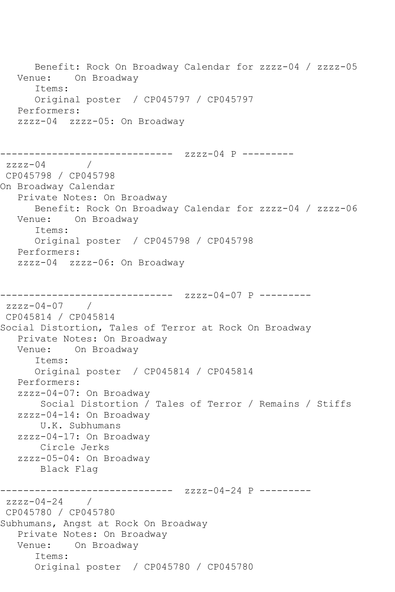Benefit: Rock On Broadway Calendar for zzzz-04 / zzzz-05 Venue: On Broadway Items: Original poster / CP045797 / CP045797 Performers: zzzz-04 zzzz-05: On Broadway ------------------------------ zzzz-04 P --------  $zzzz-04$ CP045798 / CP045798 On Broadway Calendar Private Notes: On Broadway Benefit: Rock On Broadway Calendar for zzzz-04 / zzzz-06 Venue: On Broadway Items: Original poster / CP045798 / CP045798 Performers: zzzz-04 zzzz-06: On Broadway ------------ zzzz-04-07 P -------- $zzzz-04-07$  / CP045814 / CP045814 Social Distortion, Tales of Terror at Rock On Broadway Private Notes: On Broadway Venue: On Broadway Items: Original poster / CP045814 / CP045814 Performers: zzzz-04-07: On Broadway Social Distortion / Tales of Terror / Remains / Stiffs zzzz-04-14: On Broadway U.K. Subhumans zzzz-04-17: On Broadway Circle Jerks zzzz-05-04: On Broadway Black Flag ------------------------------ zzzz-04-24 P --------  $zzzz-04-24$  / CP045780 / CP045780 Subhumans, Angst at Rock On Broadway Private Notes: On Broadway Venue: On Broadway Items: Original poster / CP045780 / CP045780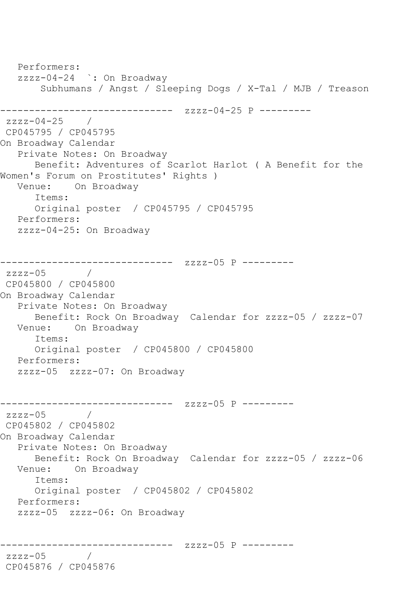Performers: zzzz-04-24 `: On Broadway Subhumans / Angst / Sleeping Dogs / X-Tal / MJB / Treason ------------------------------ zzzz-04-25 P -------- zzzz-04-25 / CP045795 / CP045795 On Broadway Calendar Private Notes: On Broadway Benefit: Adventures of Scarlot Harlot ( A Benefit for the Women's Forum on Prostitutes' Rights ) Venue: On Broadway Items: Original poster / CP045795 / CP045795 Performers: zzzz-04-25: On Broadway ------------------------------ zzzz-05 P -------- zzzz-05 / CP045800 / CP045800 On Broadway Calendar Private Notes: On Broadway Benefit: Rock On Broadway Calendar for zzzz-05 / zzzz-07 Venue: On Broadway Items: Original poster / CP045800 / CP045800 Performers: zzzz-05 zzzz-07: On Broadway ------------------------------ zzzz-05 P -------- zzzz-05 / CP045802 / CP045802 On Broadway Calendar Private Notes: On Broadway Benefit: Rock On Broadway Calendar for zzzz-05 / zzzz-06 Venue: On Broadway Items: Original poster / CP045802 / CP045802 Performers: zzzz-05 zzzz-06: On Broadway ------------------------------ zzzz-05 P -------- zzzz-05 / CP045876 / CP045876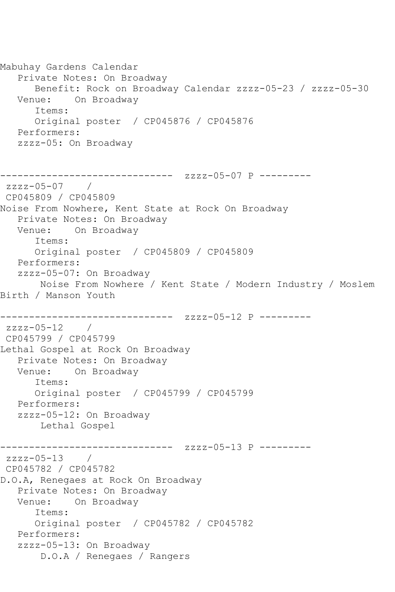```
Mabuhay Gardens Calendar
   Private Notes: On Broadway
      Benefit: Rock on Broadway Calendar zzzz-05-23 / zzzz-05-30
   Venue: On Broadway
      Items:
      Original poster / CP045876 / CP045876
   Performers:
   zzzz-05: On Broadway
------------------------------ zzzz-05-07 P ---------
zzzz-05-07 / 
CP045809 / CP045809
Noise From Nowhere, Kent State at Rock On Broadway
   Private Notes: On Broadway
   Venue: On Broadway
      Items:
      Original poster / CP045809 / CP045809
   Performers:
   zzzz-05-07: On Broadway
       Noise From Nowhere / Kent State / Modern Industry / Moslem 
Birth / Manson Youth
------------------------------ zzzz-05-12 P ---------
zzzz-05-12 / 
CP045799 / CP045799
Lethal Gospel at Rock On Broadway
   Private Notes: On Broadway
   Venue: On Broadway
      Items:
      Original poster / CP045799 / CP045799
   Performers:
   zzzz-05-12: On Broadway
       Lethal Gospel
------------------------------ zzzz-05-13 P ---------
zzzz-05-13 / 
CP045782 / CP045782
D.O.A, Renegaes at Rock On Broadway
   Private Notes: On Broadway
   Venue: On Broadway
      Items:
      Original poster / CP045782 / CP045782
   Performers:
   zzzz-05-13: On Broadway
       D.O.A / Renegaes / Rangers
```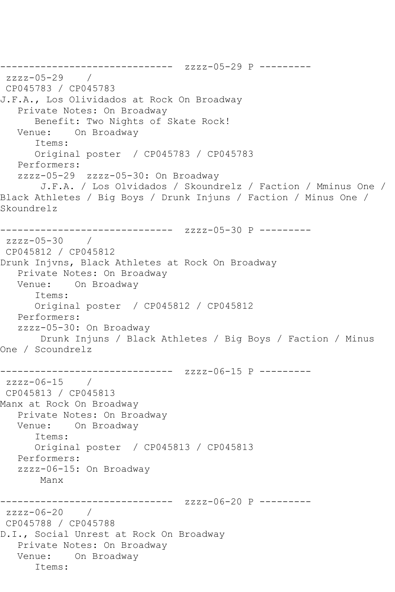```
------------------------------ zzzz-05-29 P ---------
zzzz-05-29 / 
CP045783 / CP045783
J.F.A., Los Olividados at Rock On Broadway
   Private Notes: On Broadway
      Benefit: Two Nights of Skate Rock!
   Venue: On Broadway
       Items:
      Original poster / CP045783 / CP045783
   Performers:
   zzzz-05-29 zzzz-05-30: On Broadway
       J.F.A. / Los Olvidados / Skoundrelz / Faction / Mminus One / 
Black Athletes / Big Boys / Drunk Injuns / Faction / Minus One / 
Skoundrelz
------------------------------ zzzz-05-30 P ---------
zzzz-05-30 / 
CP045812 / CP045812
Drunk Injvns, Black Athletes at Rock On Broadway
   Private Notes: On Broadway
   Venue: On Broadway
       Items:
      Original poster / CP045812 / CP045812
   Performers:
   zzzz-05-30: On Broadway
       Drunk Injuns / Black Athletes / Big Boys / Faction / Minus 
One / Scoundrelz
              ------------------------------ zzzz-06-15 P ---------
zzzz-06-15 / 
CP045813 / CP045813
Manx at Rock On Broadway
   Private Notes: On Broadway
   Venue: On Broadway
       Items:
      Original poster / CP045813 / CP045813
   Performers:
   zzzz-06-15: On Broadway
       Manx
                   ------------ zzzz-06-20 P ---------
zzzz-06-20 / 
CP045788 / CP045788
D.I., Social Unrest at Rock On Broadway
   Private Notes: On Broadway
   Venue: On Broadway
       Items:
```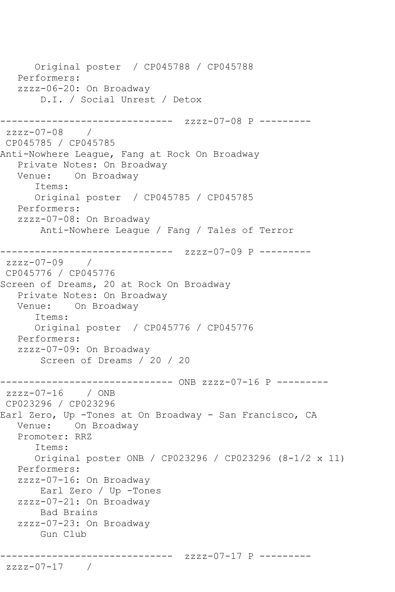```
 Original poster / CP045788 / CP045788
    Performers:
    zzzz-06-20: On Broadway
        D.I. / Social Unrest / Detox
                   ------------ zzzz-07-08 P ---------
zzzz-07-08 / 
CP045785 / CP045785
Anti-Nowhere League, Fang at Rock On Broadway
  Private Notes: On Broadway<br>Venue: On Broadway
           On Broadway
       Items:
       Original poster / CP045785 / CP045785
   Performers:
    zzzz-07-08: On Broadway
        Anti-Nowhere League / Fang / Tales of Terror
------------------------------ zzzz-07-09 P ---------
zzzz-07-09 / 
CP045776 / CP045776
Screen of Dreams, 20 at Rock On Broadway
    Private Notes: On Broadway
   Venue: On Broadway
       Items:
       Original poster / CP045776 / CP045776
   Performers:
    zzzz-07-09: On Broadway
        Screen of Dreams / 20 / 20
------------------------------ ONB zzzz-07-16 P ---------
zzzz-07-16 / ONB 
CP023296 / CP023296
Earl Zero, Up -Tones at On Broadway - San Francisco, CA
   Venue: On Broadway
   Promoter: RRZ
       Items:
       Original poster ONB / CP023296 / CP023296 (8-1/2 x 11)
    Performers:
    zzzz-07-16: On Broadway
        Earl Zero / Up -Tones
    zzzz-07-21: On Broadway
        Bad Brains
    zzzz-07-23: On Broadway
        Gun Club
              ------------------------------ zzzz-07-17 P ---------
zzzz-07-17 /
```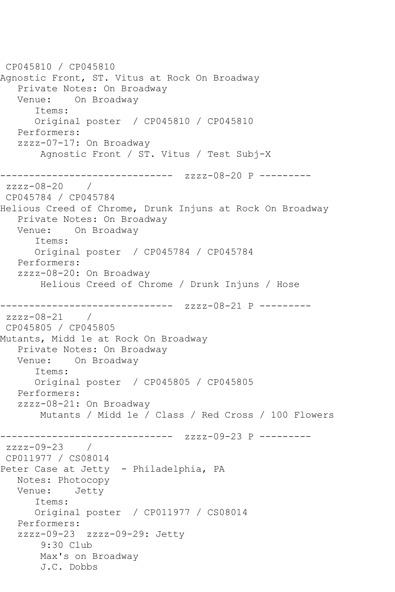CP045810 / CP045810 Agnostic Front, ST. Vitus at Rock On Broadway Private Notes: On Broadway Venue: On Broadway Items: Original poster / CP045810 / CP045810 Performers: zzzz-07-17: On Broadway Agnostic Front / ST. Vitus / Test Subj-X ------------------------------ zzzz-08-20 P -------- zzzz-08-20 / CP045784 / CP045784 Helious Creed of Chrome, Drunk Injuns at Rock On Broadway Private Notes: On Broadway Venue: On Broadway Items: Original poster / CP045784 / CP045784 Performers: zzzz-08-20: On Broadway Helious Creed of Chrome / Drunk Injuns / Hose ------------------------------ zzzz-08-21 P -------- zzzz-08-21 / CP045805 / CP045805 Mutants, Midd 1e at Rock On Broadway Private Notes: On Broadway Venue: On Broadway Items: Original poster / CP045805 / CP045805 Performers: zzzz-08-21: On Broadway Mutants / Midd 1e / Class / Red Cross / 100 Flowers ------------ zzzz-09-23 P --------zzzz-09-23 / CP011977 / CS08014 Peter Case at Jetty - Philadelphia, PA Notes: Photocopy Venue: Jetty Items: Original poster / CP011977 / CS08014 Performers: zzzz-09-23 zzzz-09-29: Jetty 9:30 Club Max's on Broadway J.C. Dobbs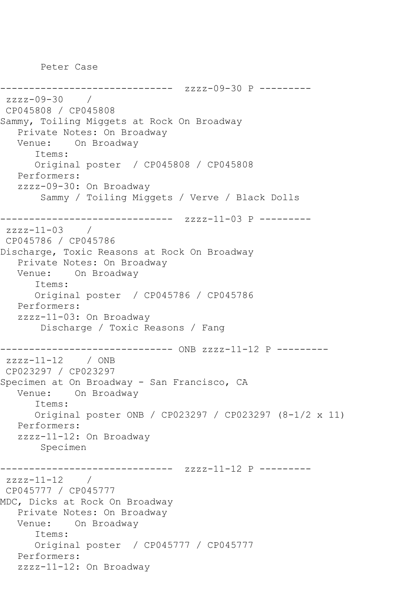Peter Case

```
------------------------------ zzzz-09-30 P ---------
zzzz-09-30 / 
CP045808 / CP045808
Sammy, Toiling Miggets at Rock On Broadway
   Private Notes: On Broadway
   Venue: On Broadway
       Items:
      Original poster / CP045808 / CP045808
   Performers:
   zzzz-09-30: On Broadway
        Sammy / Toiling Miggets / Verve / Black Dolls
        ------------------------------ zzzz-11-03 P ---------
zzzz-11-03CP045786 / CP045786
Discharge, Toxic Reasons at Rock On Broadway
   Private Notes: On Broadway
   Venue: On Broadway
       Items:
      Original poster / CP045786 / CP045786
   Performers:
   zzzz-11-03: On Broadway
        Discharge / Toxic Reasons / Fang
------------------------------ ONB zzzz-11-12 P ---------
zzzz-11-12 / ONB
CP023297 / CP023297
Specimen at On Broadway - San Francisco, CA
   Venue: On Broadway
       Items:
      Original poster ONB / CP023297 / CP023297 (8-1/2 x 11)
   Performers:
   zzzz-11-12: On Broadway
        Specimen
------------------------------ zzzz-11-12 P ---------
zzzz-11-12 / 
CP045777 / CP045777
MDC, Dicks at Rock On Broadway
   Private Notes: On Broadway
   Venue: On Broadway
       Items:
      Original poster / CP045777 / CP045777
   Performers:
   zzzz-11-12: On Broadway
```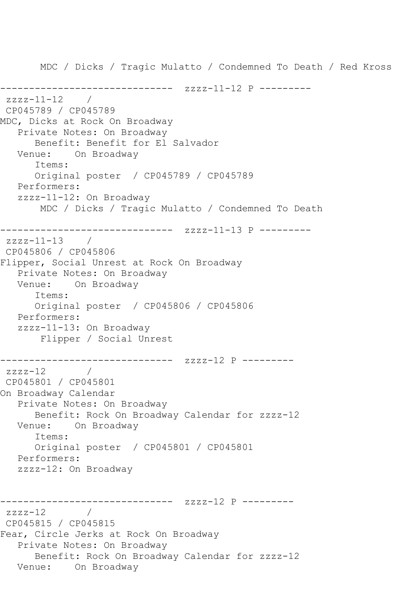MDC / Dicks / Tragic Mulatto / Condemned To Death / Red Kross ------------------------------ zzzz-11-12 P -------- zzzz-11-12 / CP045789 / CP045789 MDC, Dicks at Rock On Broadway Private Notes: On Broadway Benefit: Benefit for El Salvador Venue: On Broadway Items: Original poster / CP045789 / CP045789 Performers: zzzz-11-12: On Broadway MDC / Dicks / Tragic Mulatto / Condemned To Death ------------------------------ zzzz-11-13 P --------  $zzzz-11-13$  / CP045806 / CP045806 Flipper, Social Unrest at Rock On Broadway Private Notes: On Broadway Venue: On Broadway Items: Original poster / CP045806 / CP045806 Performers: zzzz-11-13: On Broadway Flipper / Social Unrest ------------------------------ zzzz-12 P --------  $zzzz-12$ CP045801 / CP045801 On Broadway Calendar Private Notes: On Broadway Benefit: Rock On Broadway Calendar for zzzz-12 Venue: On Broadway Items: Original poster / CP045801 / CP045801 Performers: zzzz-12: On Broadway ------------------------------ zzzz-12 P --------  $zzzz-12$ CP045815 / CP045815 Fear, Circle Jerks at Rock On Broadway Private Notes: On Broadway Benefit: Rock On Broadway Calendar for zzzz-12 Venue: On Broadway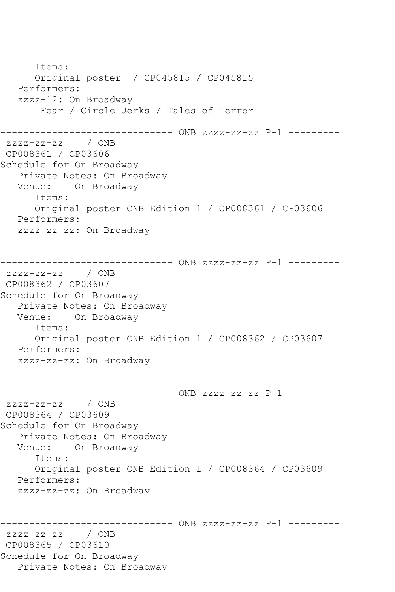Items: Original poster / CP045815 / CP045815 Performers: zzzz-12: On Broadway Fear / Circle Jerks / Tales of Terror ------------------------------ ONB zzzz-zz-zz P-1 -------- zzzz-zz-zz / ONB CP008361 / CP03606 Schedule for On Broadway Private Notes: On Broadway Venue: On Broadway Items: Original poster ONB Edition 1 / CP008361 / CP03606 Performers: zzzz-zz-zz: On Broadway ------------------------------ ONB zzzz-zz-zz P-1 -------- zzzz-zz-zz / ONB CP008362 / CP03607 Schedule for On Broadway Private Notes: On Broadway Venue: On Broadway Items: Original poster ONB Edition 1 / CP008362 / CP03607 Performers: zzzz-zz-zz: On Broadway ------------------------------ ONB zzzz-zz-zz P-1 -------- zzzz-zz-zz / ONB CP008364 / CP03609 Schedule for On Broadway Private Notes: On Broadway Venue: On Broadway Items: Original poster ONB Edition 1 / CP008364 / CP03609 Performers: zzzz-zz-zz: On Broadway ------------------------------ ONB zzzz-zz-zz P-1 -------- zzzz-zz-zz / ONB CP008365 / CP03610 Schedule for On Broadway Private Notes: On Broadway